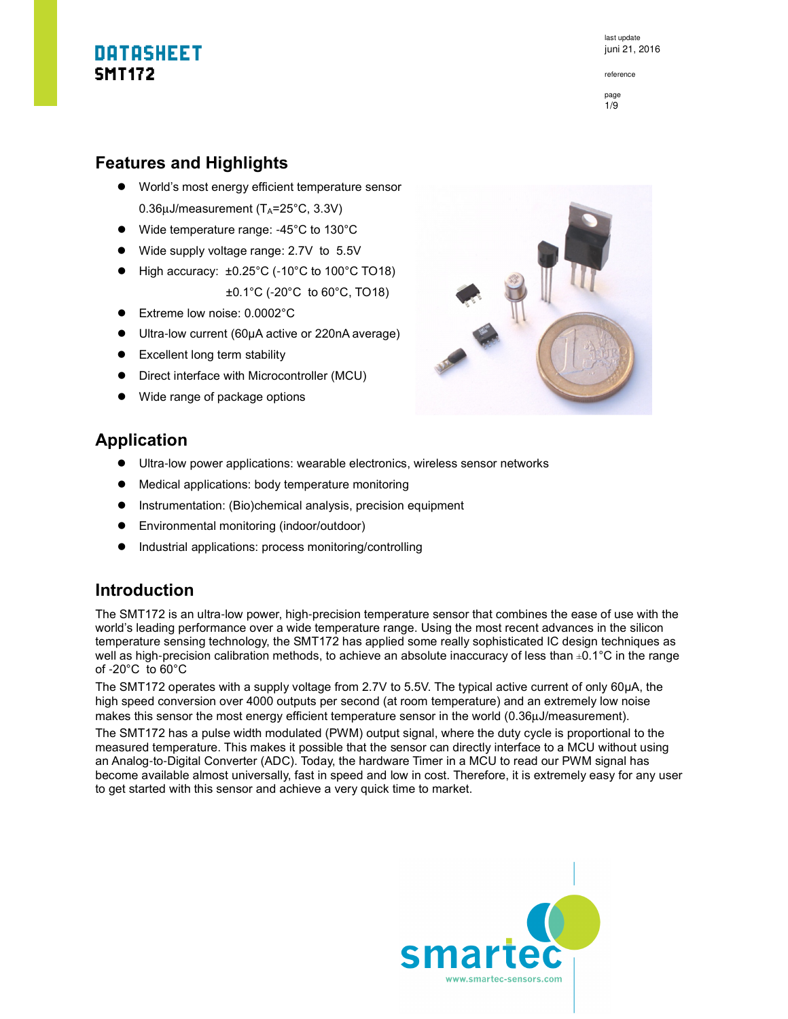reference



#### **Features and Highlights**

- World's most energy efficient temperature sensor  $0.36\mu$ J/measurement (T<sub>A</sub>=25°C, 3.3V)
- Wide temperature range: -45°C to 130°C
- Wide supply voltage range: 2.7V to 5.5V
- $\bullet$  High accuracy:  $\pm 0.25^{\circ}$ C (-10°C to 100°C TO18) ±0.1°C (-20°C to 60°C, TO18)
- Extreme low noise: 0.0002°C
- Ultra-low current (60µA active or 220nA average)
- Excellent long term stability
- Direct interface with Microcontroller (MCU)
- Wide range of package options



### **Application**

- Ultra-low power applications: wearable electronics, wireless sensor networks
- Medical applications: body temperature monitoring
- **•** Instrumentation: (Bio)chemical analysis, precision equipment
- Environmental monitoring (indoor/outdoor)
- $\bullet$  Industrial applications: process monitoring/controlling

### **Introduction**

The SMT172 is an ultra-low power, high-precision temperature sensor that combines the ease of use with the world's leading performance over a wide temperature range. Using the most recent advances in the silicon temperature sensing technology, the SMT172 has applied some really sophisticated IC design techniques as well as high-precision calibration methods, to achieve an absolute inaccuracy of less than ±0.1°C in the range of -20°C to 60°C

The SMT172 operates with a supply voltage from 2.7V to 5.5V. The typical active current of only 60µA, the high speed conversion over 4000 outputs per second (at room temperature) and an extremely low noise makes this sensor the most energy efficient temperature sensor in the world (0.36µJ/measurement).

The SMT172 has a pulse width modulated (PWM) output signal, where the duty cycle is proportional to the measured temperature. This makes it possible that the sensor can directly interface to a MCU without using an Analog-to-Digital Converter (ADC). Today, the hardware Timer in a MCU to read our PWM signal has become available almost universally, fast in speed and low in cost. Therefore, it is extremely easy for any user to get started with this sensor and achieve a very quick time to market.

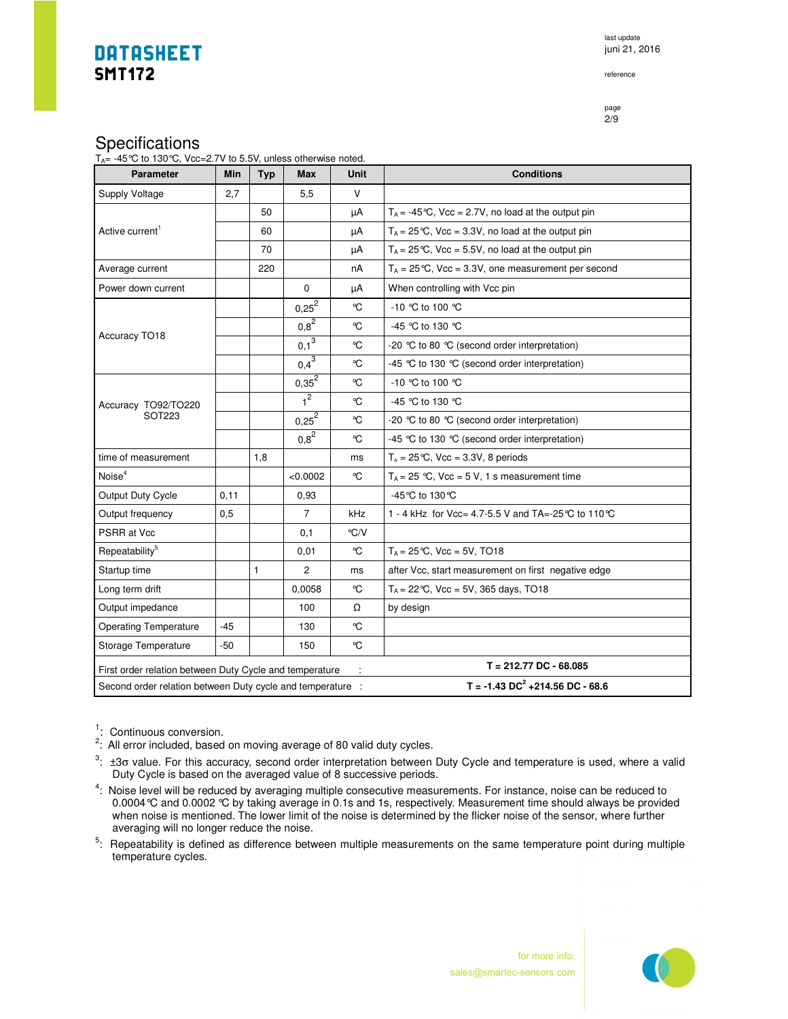last update juni 21, 2016

reference

page 2/9

### **Specifications**

| P                                                                     |  |
|-----------------------------------------------------------------------|--|
| $T_{A}$ = -45 °C to 130 °C, Vcc=2.7V to 5.5V, unless otherwise noted. |  |

| <b>Parameter</b>                                                                                                  | Min   | Typ          | <b>Max</b>     | Unit               | <b>Conditions</b>                                                   |
|-------------------------------------------------------------------------------------------------------------------|-------|--------------|----------------|--------------------|---------------------------------------------------------------------|
| Supply Voltage                                                                                                    | 2,7   |              | 5,5            | V                  |                                                                     |
| Active current <sup>1</sup>                                                                                       |       | 50           |                | μA                 | $T_A = -45^{\circ}\text{C}$ , Vcc = 2.7V, no load at the output pin |
|                                                                                                                   |       | 60           |                | μA                 | $T_A = 25 \degree C$ , Vcc = 3.3V, no load at the output pin        |
|                                                                                                                   |       | 70           |                | μA                 | $T_A = 25 \degree C$ , Vcc = 5.5V, no load at the output pin        |
| Average current                                                                                                   |       | 220          |                | nA                 | $T_A = 25 \degree C$ , Vcc = 3.3V, one measurement per second       |
| Power down current                                                                                                |       |              | $\Omega$       | μA                 | When controlling with Vcc pin                                       |
| Accuracy TO18                                                                                                     |       |              | $0,25^2$       | ℃                  | $-10$ °C to 100 °C                                                  |
|                                                                                                                   |       |              | $0.8^{2}$      | °C                 | -45 °C to 130 °C                                                    |
|                                                                                                                   |       |              | $0.1^3$        | °C                 | -20 °C to 80 °C (second order interpretation)                       |
|                                                                                                                   |       |              | $0,4^{3}$      | ℃                  | -45 ℃ to 130 ℃ (second order interpretation)                        |
|                                                                                                                   |       |              | $0,35^{2}$     | °C                 | -10 ℃ to 100 ℃                                                      |
| Accuracy TO92/TO220                                                                                               |       |              | 1 <sup>2</sup> | ℃                  | -45 °C to 130 °C                                                    |
| <b>SOT223</b>                                                                                                     |       |              | $0,25^2$       | °C                 | -20 °C to 80 °C (second order interpretation)                       |
|                                                                                                                   |       |              | $0.8^{2}$      | °C                 | -45 °C to 130 °C (second order interpretation)                      |
| time of measurement                                                                                               |       | 1,8          |                | ms                 | $T_A = 25 \degree C$ , Vcc = 3.3V, 8 periods                        |
| Noise <sup>4</sup>                                                                                                |       |              | < 0.0002       | °C                 | $T_A = 25$ °C, Vcc = 5 V, 1 s measurement time                      |
| Output Duty Cycle                                                                                                 | 0,11  |              | 0.93           |                    | -45 °C to 130 °C                                                    |
| Output frequency                                                                                                  | 0,5   |              | 7              | kHz                | 1 - 4 kHz for Vcc= 4.7-5.5 V and TA=-25 °C to 110 °C                |
| PSRR at Vcc                                                                                                       |       |              | 0,1            | $\rm ^{\circ}$ C/V |                                                                     |
| Repeatability <sup>5</sup>                                                                                        |       |              | 0,01           | °C                 | $T_A = 25 \, ^\circ \text{C}$ , Vcc = 5V, TO18                      |
| Startup time                                                                                                      |       | $\mathbf{1}$ | $\overline{2}$ | ms                 | after Vcc, start measurement on first negative edge                 |
| Long term drift                                                                                                   |       |              | 0,0058         | ℃                  | $T_A = 22$ °C, Vcc = 5V, 365 days, TO18                             |
| Output impedance                                                                                                  |       |              | 100            | Ω                  | by design                                                           |
| <b>Operating Temperature</b>                                                                                      | -45   |              | 130            | °C                 |                                                                     |
| Storage Temperature                                                                                               | $-50$ |              | 150            | °C                 |                                                                     |
| $T = 212.77$ DC - 68.085<br>First order relation between Duty Cycle and temperature                               |       |              |                |                    |                                                                     |
| $T = -1.43 \text{ DC}^2 + 214.56 \text{ DC} - 68.6$<br>Second order relation between Duty cycle and temperature : |       |              |                |                    |                                                                     |

<sup>1</sup>: Continuous conversion.<br><sup>2</sup>: All error included, based on moving average of 80 valid duty cycles.

 $3:$   $\pm 3\sigma$  value. For this accuracy, second order interpretation between Duty Cycle and temperature is used, where a valid Duty Cycle is based on the averaged value of 8 successive periods.

<sup>4</sup>: Noise level will be reduced by averaging multiple consecutive measurements. For instance, noise can be reduced to 0.0004°C and 0.0002 °C by taking average in 0.1s and 1s, respectively. Measurement time should always be provided when noise is mentioned. The lower limit of the noise is determined by the flicker noise of the sensor, where further averaging will no longer reduce the noise.

<sup>5</sup>: Repeatability is defined as difference between multiple measurements on the same temperature point during multiple temperature cycles.



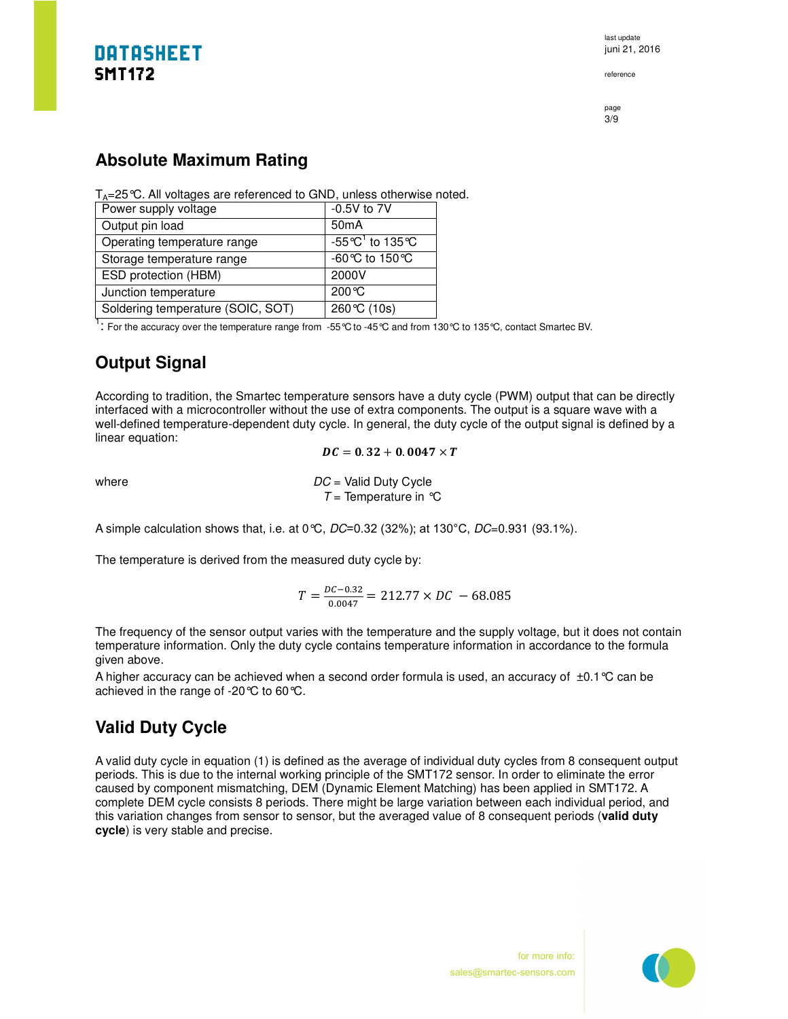reference

page 3/9

### **Absolute Maximum Rating**

 $T_A = 25$  °C. All voltages are referenced to GND, unless otherwise noted.

| Power supply voltage              | $-0.5V$ to $7V$                     |
|-----------------------------------|-------------------------------------|
| Output pin load                   | 50 <sub>m</sub> A                   |
| Operating temperature range       | $-55^{\circ}C^1$ to 135 $^{\circ}C$ |
| Storage temperature range         | -60℃ to 150℃                        |
| <b>ESD</b> protection (HBM)       | 2000V                               |
| Junction temperature              | $200\,\mathrm{°C}$                  |
| Soldering temperature (SOIC, SOT) | 260 ℃ (10s)                         |

1 : For the accuracy over the temperature range from -55°C to -45°C and from 130°C to 135°C, contact Smartec BV.

### **Output Signal**

According to tradition, the Smartec temperature sensors have a duty cycle (PWM) output that can be directly interfaced with a microcontroller without the use of extra components. The output is a square wave with a well-defined temperature-dependent duty cycle. In general, the duty cycle of the output signal is defined by a linear equation:

 $DC = 0.32 + 0.0047 \times T$ 

where  $DC =$  Valid Duty Cycle  $T =$  Temperature in  $^{\circ}C$ 

A simple calculation shows that, i.e. at 0°C, DC=0.32 (32%); at 130°C, DC=0.931 (93.1%).

The temperature is derived from the measured duty cycle by:

$$
T = \frac{DC - 0.32}{0.0047} = 212.77 \times DC - 68.085
$$

The frequency of the sensor output varies with the temperature and the supply voltage, but it does not contain temperature information. Only the duty cycle contains temperature information in accordance to the formula given above.

A higher accuracy can be achieved when a second order formula is used, an accuracy of  $\pm 0.1$  °C can be achieved in the range of -20°C to 60°C.

### **Valid Duty Cycle**

A valid duty cycle in equation (1) is defined as the average of individual duty cycles from 8 consequent output periods. This is due to the internal working principle of the SMT172 sensor. In order to eliminate the error caused by component mismatching, DEM (Dynamic Element Matching) has been applied in SMT172. A complete DEM cycle consists 8 periods. There might be large variation between each individual period, and this variation changes from sensor to sensor, but the averaged value of 8 consequent periods (**valid duty cycle**) is very stable and precise.

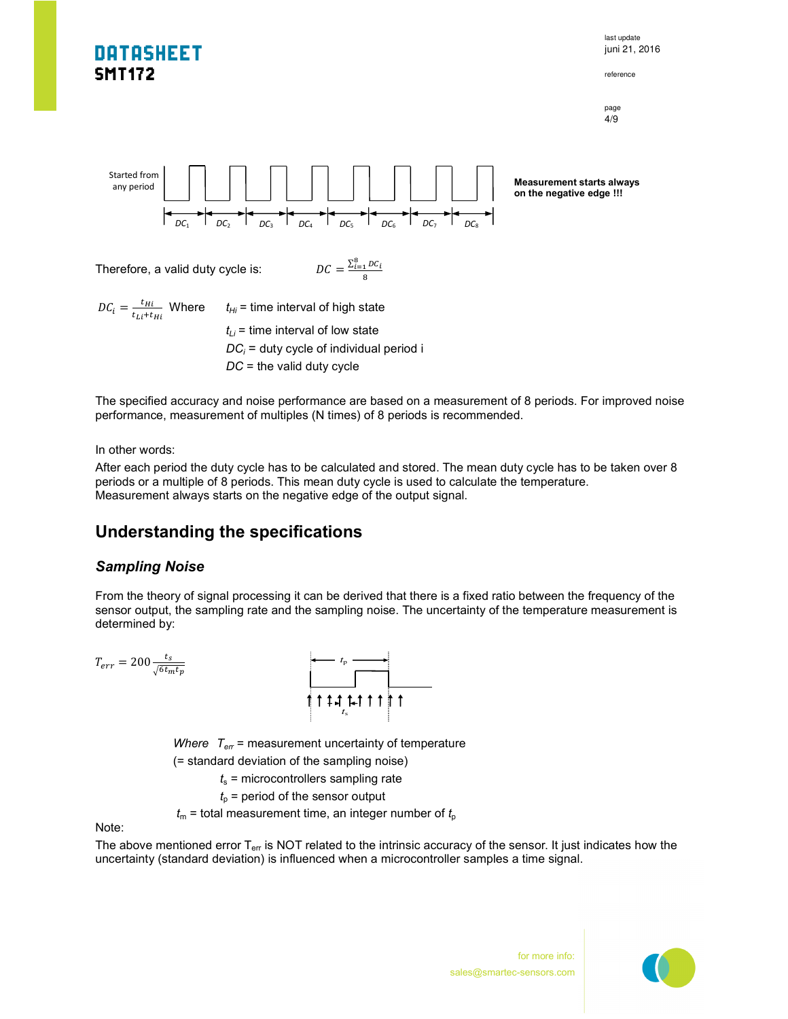

The specified accuracy and noise performance are based on a measurement of 8 periods. For improved noise performance, measurement of multiples (N times) of 8 periods is recommended.

In other words:

After each period the duty cycle has to be calculated and stored. The mean duty cycle has to be taken over 8 periods or a multiple of 8 periods. This mean duty cycle is used to calculate the temperature. Measurement always starts on the negative edge of the output signal.

### **Understanding the specifications**

#### *Sampling Noise*

From the theory of signal processing it can be derived that there is a fixed ratio between the frequency of the sensor output, the sampling rate and the sampling noise. The uncertainty of the temperature measurement is determined by:

$$
T_{err} = 200 \frac{t_s}{\sqrt{6t_m t_p}}
$$

*Where*  $T_{\text{err}}$  = measurement uncertainty of temperature (= standard deviation of the sampling noise)

 $t<sub>s</sub>$  = microcontrollers sampling rate

 $t<sub>o</sub>$  = period of the sensor output

 $t_m$  = total measurement time, an integer number of  $t_p$ 

Note:

The above mentioned error  $T_{\text{err}}$  is NOT related to the intrinsic accuracy of the sensor. It just indicates how the uncertainty (standard deviation) is influenced when a microcontroller samples a time signal.

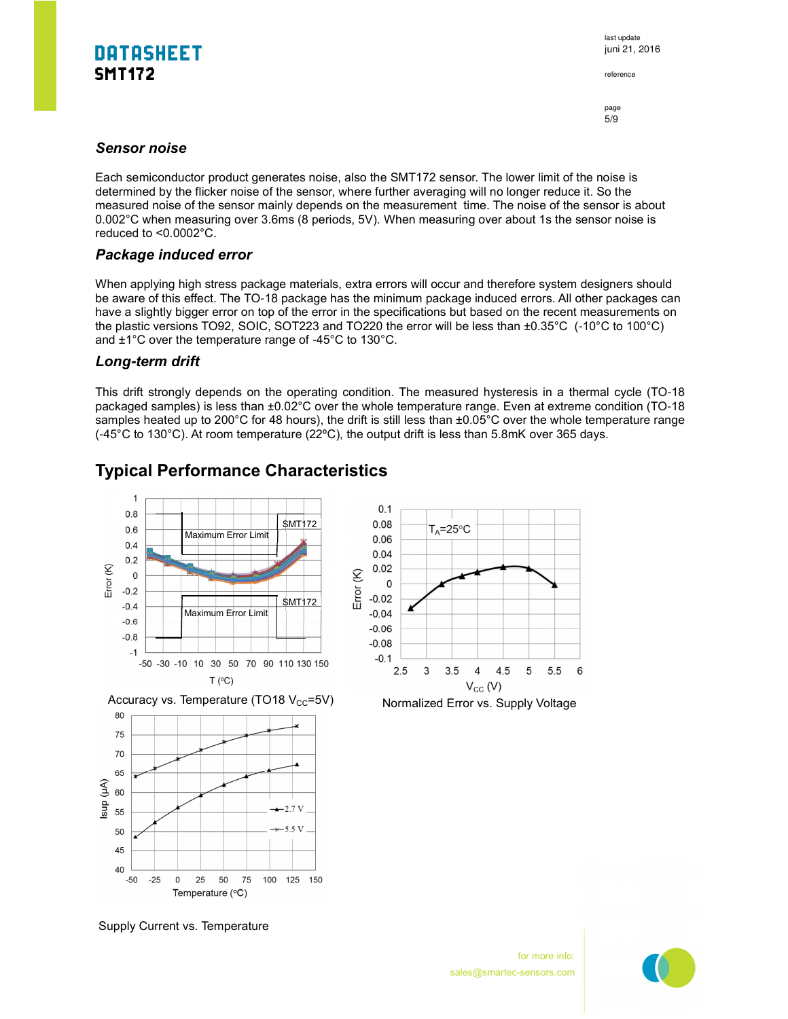last update juni 21, 2016

reference

page 5/9

#### *Sensor noise*

Each semiconductor product generates noise, also the SMT172 sensor. The lower limit of the noise is determined by the flicker noise of the sensor, where further averaging will no longer reduce it. So the measured noise of the sensor mainly depends on the measurement time. The noise of the sensor is about 0.002°C when measuring over 3.6ms (8 periods, 5V). When measuring over about 1s the sensor noise is reduced to <0.0002°C.

#### *Package induced error*

When applying high stress package materials, extra errors will occur and therefore system designers should be aware of this effect. The TO-18 package has the minimum package induced errors. All other packages can have a slightly bigger error on top of the error in the specifications but based on the recent measurements on the plastic versions TO92, SOIC, SOT223 and TO220 the error will be less than ±0.35°C (-10°C to 100°C) and ±1°C over the temperature range of -45°C to 130°C.

#### *Long***-***term drift*

This drift strongly depends on the operating condition. The measured hysteresis in a thermal cycle (TO-18 packaged samples) is less than ±0.02°C over the whole temperature range. Even at extreme condition (TO-18 samples heated up to 200°C for 48 hours), the drift is still less than ±0.05°C over the whole temperature range (-45°C to 130°C). At room temperature (22ºC), the output drift is less than 5.8mK over 365 days.

### **Typical Performance Characteristics**



Supply Current vs. Temperature

5.5 6

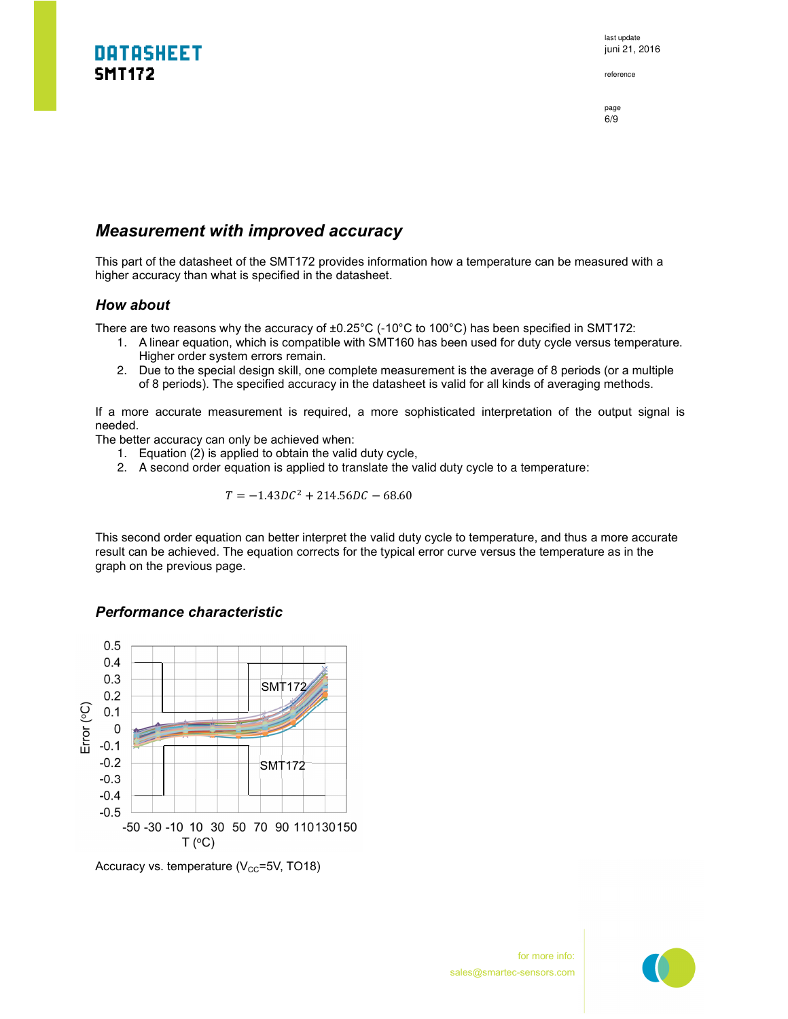last update juni 21, 2016

reference

page 6/9

#### *Measurement with improved accuracy*

This part of the datasheet of the SMT172 provides information how a temperature can be measured with a higher accuracy than what is specified in the datasheet.

#### *How about*

There are two reasons why the accuracy of  $\pm 0.25^{\circ}$ C (-10°C to 100°C) has been specified in SMT172:

- 1. A linear equation, which is compatible with SMT160 has been used for duty cycle versus temperature. Higher order system errors remain.
- 2. Due to the special design skill, one complete measurement is the average of 8 periods (or a multiple of 8 periods). The specified accuracy in the datasheet is valid for all kinds of averaging methods.

If a more accurate measurement is required, a more sophisticated interpretation of the output signal is needed.

The better accuracy can only be achieved when:

- 1. Equation (2) is applied to obtain the valid duty cycle,
- 2. A second order equation is applied to translate the valid duty cycle to a temperature:

$$
T = -1.43DC^2 + 214.56DC - 68.60
$$

This second order equation can better interpret the valid duty cycle to temperature, and thus a more accurate result can be achieved. The equation corrects for the typical error curve versus the temperature as in the graph on the previous page.

#### *Performance characteristic*



Accuracy vs. temperature  $(V_{CC}=5V, TO18)$ 

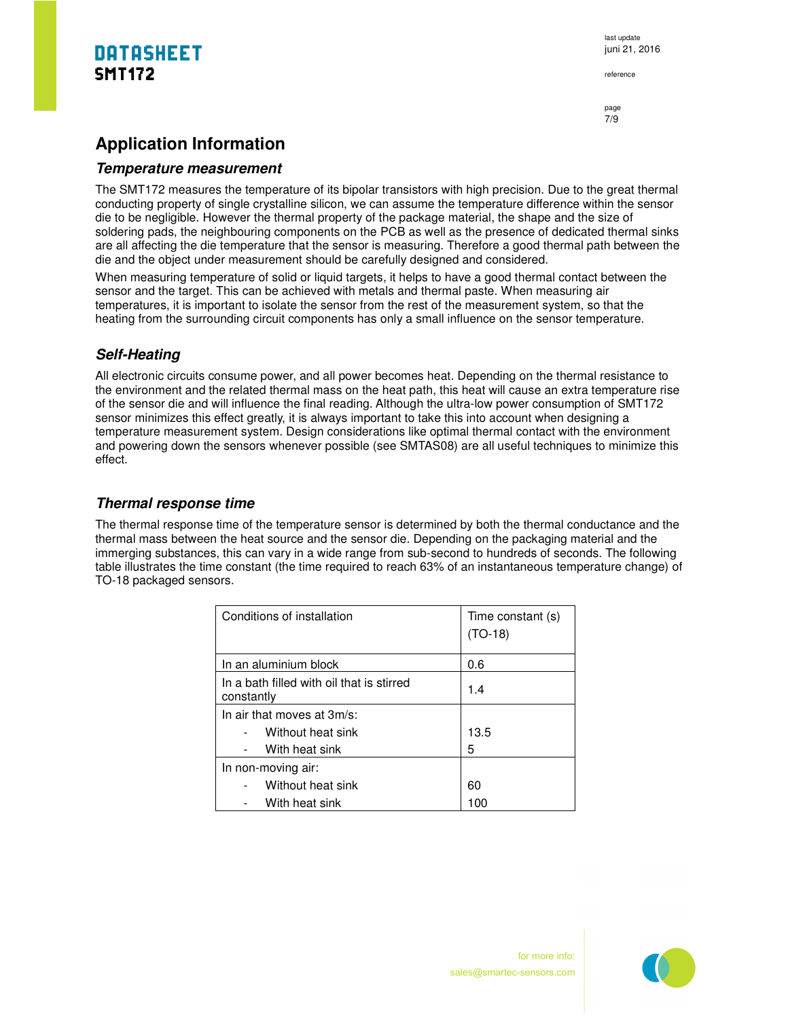reference

page 7/9

## **Application Information**

#### **Temperature measurement**

The SMT172 measures the temperature of its bipolar transistors with high precision. Due to the great thermal conducting property of single crystalline silicon, we can assume the temperature difference within the sensor die to be negligible. However the thermal property of the package material, the shape and the size of soldering pads, the neighbouring components on the PCB as well as the presence of dedicated thermal sinks are all affecting the die temperature that the sensor is measuring. Therefore a good thermal path between the die and the object under measurement should be carefully designed and considered.

When measuring temperature of solid or liquid targets, it helps to have a good thermal contact between the sensor and the target. This can be achieved with metals and thermal paste. When measuring air temperatures, it is important to isolate the sensor from the rest of the measurement system, so that the heating from the surrounding circuit components has only a small influence on the sensor temperature.

#### **Self-Heating**

All electronic circuits consume power, and all power becomes heat. Depending on the thermal resistance to the environment and the related thermal mass on the heat path, this heat will cause an extra temperature rise of the sensor die and will influence the final reading. Although the ultra-low power consumption of SMT172 sensor minimizes this effect greatly, it is always important to take this into account when designing a temperature measurement system. Design considerations like optimal thermal contact with the environment and powering down the sensors whenever possible (see SMTAS08) are all useful techniques to minimize this effect.

#### **Thermal response time**

The thermal response time of the temperature sensor is determined by both the thermal conductance and the thermal mass between the heat source and the sensor die. Depending on the packaging material and the immerging substances, this can vary in a wide range from sub-second to hundreds of seconds. The following table illustrates the time constant (the time required to reach 63% of an instantaneous temperature change) of TO-18 packaged sensors.

| Conditions of installation                              | Time constant (s)<br>$(TO-18)$ |
|---------------------------------------------------------|--------------------------------|
| In an aluminium block                                   | 0.6                            |
| In a bath filled with oil that is stirred<br>constantly | 1.4                            |
| In air that moves at $3m/s$ :                           |                                |
| Without heat sink                                       | 13.5                           |
| With heat sink                                          | 5                              |
| In non-moving air:                                      |                                |
| Without heat sink                                       | 60                             |
| With heat sink                                          | 100                            |

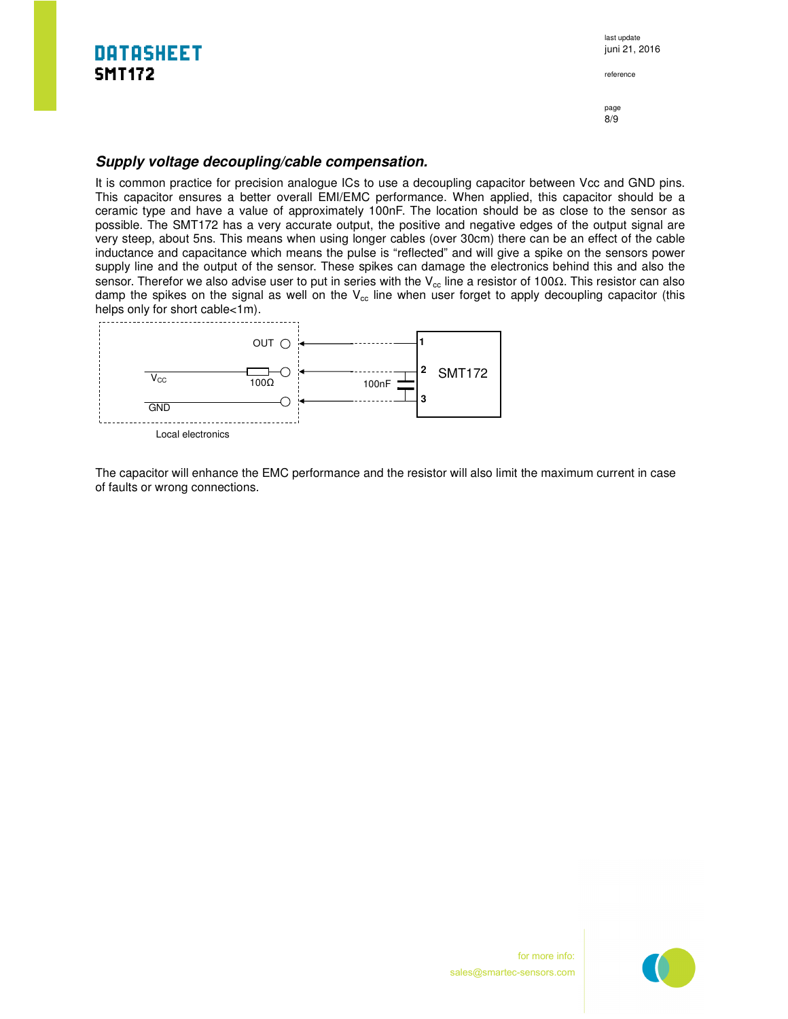last update juni 21, 2016

reference

page 8/9

#### **Supply voltage decoupling/cable compensation.**

It is common practice for precision analogue ICs to use a decoupling capacitor between Vcc and GND pins. This capacitor ensures a better overall EMI/EMC performance. When applied, this capacitor should be a ceramic type and have a value of approximately 100nF. The location should be as close to the sensor as possible. The SMT172 has a very accurate output, the positive and negative edges of the output signal are very steep, about 5ns. This means when using longer cables (over 30cm) there can be an effect of the cable inductance and capacitance which means the pulse is "reflected" and will give a spike on the sensors power supply line and the output of the sensor. These spikes can damage the electronics behind this and also the sensor. Therefor we also advise user to put in series with the V<sub>cc</sub> line a resistor of 100Ω. This resistor can also damp the spikes on the signal as well on the  $V_{cc}$  line when user forget to apply decoupling capacitor (this helps only for short cable<1m).



The capacitor will enhance the EMC performance and the resistor will also limit the maximum current in case of faults or wrong connections.

> for more info: sales@smartec-sensors.com